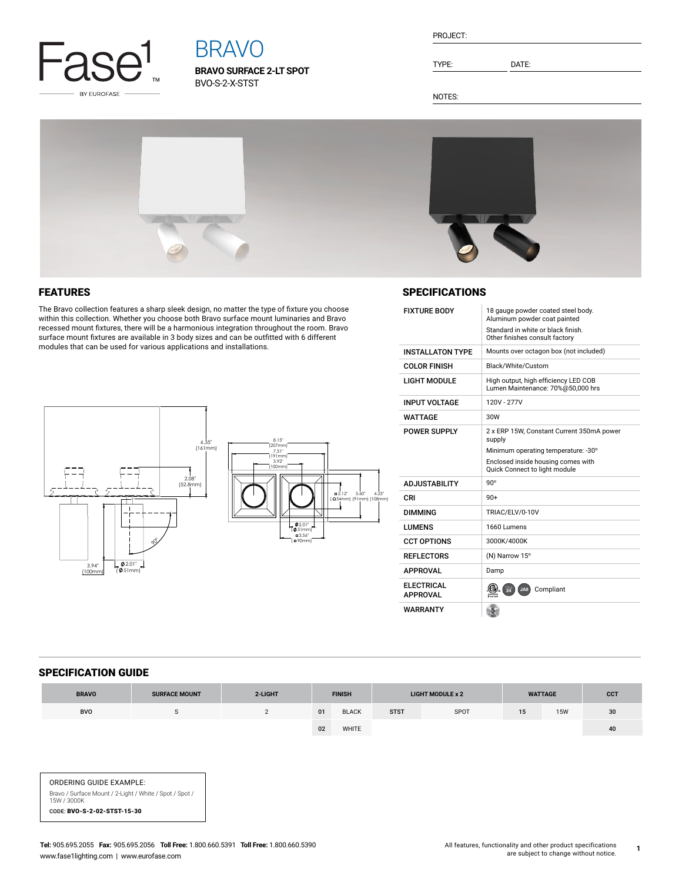

# BRAVO

**BRAVO SURFACE 2-LT SPOT** BVO-S-2-X-STST

TYPE: DATE:

NOTES:



# FEATURES

The Bravo collection features a sharp sleek design, no matter the type of fixture you choose within this collection. Whether you choose both Bravo surface mount luminaries and Bravo recessed mount fixtures, there will be a harmonious integration throughout the room. Bravo surface mount fixtures are available in 3 body sizes and can be outfitted with 6 different modules that can be used for various applications and installations.



## **SPECIFICATIONS**

| <b>FIXTURE BODY</b>                  | 18 gauge powder coated steel body.<br>Aluminum powder coat painted        |  |  |  |  |
|--------------------------------------|---------------------------------------------------------------------------|--|--|--|--|
|                                      | Standard in white or black finish.<br>Other finishes consult factory      |  |  |  |  |
| <b>INSTALL ATON TYPE</b>             | Mounts over octagon box (not included)                                    |  |  |  |  |
| <b>COLOR FINISH</b>                  | Black/White/Custom                                                        |  |  |  |  |
| <b>LIGHT MODULE</b>                  | High output, high efficiency LED COB<br>Lumen Maintenance: 70%@50,000 hrs |  |  |  |  |
| <b>INPUT VOLTAGE</b>                 | 120V - 277V                                                               |  |  |  |  |
| WATTAGF                              | 30W                                                                       |  |  |  |  |
| POWER SUPPLY                         | 2 x ERP 15W, Constant Current 350mA power<br>supply                       |  |  |  |  |
|                                      | Minimum operating temperature: -30°                                       |  |  |  |  |
|                                      | Enclosed inside housing comes with<br>Quick Connect to light module       |  |  |  |  |
| <b>ADJUSTABILITY</b>                 | $90^\circ$                                                                |  |  |  |  |
| CRI                                  | $90+$                                                                     |  |  |  |  |
| <b>DIMMING</b>                       | TRIAC/ELV/0-10V                                                           |  |  |  |  |
| <b>LUMENS</b>                        | 1660 Lumens                                                               |  |  |  |  |
| <b>CCT OPTIONS</b>                   | 3000K/4000K                                                               |  |  |  |  |
| <b>REFLECTORS</b>                    | (N) Narrow 15°                                                            |  |  |  |  |
| <b>APPROVAL</b>                      | Damp                                                                      |  |  |  |  |
| <b>ELECTRICAL</b><br><b>APPROVAL</b> | 24<br>Compliant<br>JA8                                                    |  |  |  |  |
| <b>WARRANTY</b>                      |                                                                           |  |  |  |  |

#### SPECIFICATION GUIDE

| <b>BRAVO</b> | <b>SURFACE MOUNT</b> | 2-LIGHT | <b>FINISH</b> |              | <b>LIGHT MODULE x 2</b> |      | <b>WATTAGE</b> |            | <b>CCT</b> |
|--------------|----------------------|---------|---------------|--------------|-------------------------|------|----------------|------------|------------|
| BVO          |                      |         | 01            | <b>BLACK</b> | <b>STST</b>             | SPOT | 15             | <b>15W</b> | 30         |
|              |                      |         | 02            | WHITE        |                         |      |                |            | 40         |

ORDERING GUIDE EXAMPLE: Bravo / Surface Mount / 2-Light / White / Spot / Spot / 15W / 3000K CODE: BVO-S-2-02-STST-15-30

**1**